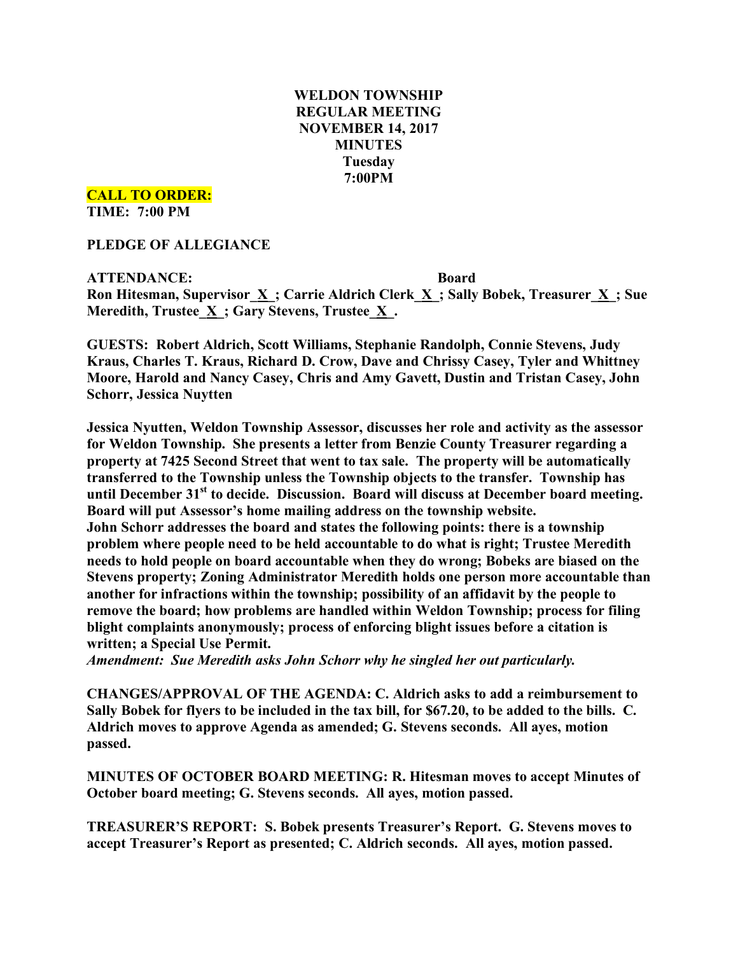# **WELDON TOWNSHIP REGULAR MEETING NOVEMBER 14, 2017 MINUTES Tuesday 7:00PM**

**CALL TO ORDER:**

**TIME: 7:00 PM**

**PLEDGE OF ALLEGIANCE**

**ATTENDANCE: Board Ron Hitesman, Supervisor\_X\_; Carrie Aldrich Clerk\_X\_; Sally Bobek, Treasurer\_X\_; Sue Meredith, Trustee**  $\underline{X}$ **; Gary Stevens, Trustee**  $\underline{X}$ **.** 

**GUESTS: Robert Aldrich, Scott Williams, Stephanie Randolph, Connie Stevens, Judy Kraus, Charles T. Kraus, Richard D. Crow, Dave and Chrissy Casey, Tyler and Whittney Moore, Harold and Nancy Casey, Chris and Amy Gavett, Dustin and Tristan Casey, John Schorr, Jessica Nuytten**

**Jessica Nyutten, Weldon Township Assessor, discusses her role and activity as the assessor for Weldon Township. She presents a letter from Benzie County Treasurer regarding a property at 7425 Second Street that went to tax sale. The property will be automatically transferred to the Township unless the Township objects to the transfer. Township has until December 31st to decide. Discussion. Board will discuss at December board meeting. Board will put Assessor's home mailing address on the township website. John Schorr addresses the board and states the following points: there is a township problem where people need to be held accountable to do what is right; Trustee Meredith needs to hold people on board accountable when they do wrong; Bobeks are biased on the Stevens property; Zoning Administrator Meredith holds one person more accountable than another for infractions within the township; possibility of an affidavit by the people to remove the board; how problems are handled within Weldon Township; process for filing blight complaints anonymously; process of enforcing blight issues before a citation is written; a Special Use Permit.**

*Amendment: Sue Meredith asks John Schorr why he singled her out particularly.*

**CHANGES/APPROVAL OF THE AGENDA: C. Aldrich asks to add a reimbursement to Sally Bobek for flyers to be included in the tax bill, for \$67.20, to be added to the bills. C. Aldrich moves to approve Agenda as amended; G. Stevens seconds. All ayes, motion passed.**

**MINUTES OF OCTOBER BOARD MEETING: R. Hitesman moves to accept Minutes of October board meeting; G. Stevens seconds. All ayes, motion passed.**

**TREASURER'S REPORT: S. Bobek presents Treasurer's Report. G. Stevens moves to accept Treasurer's Report as presented; C. Aldrich seconds. All ayes, motion passed.**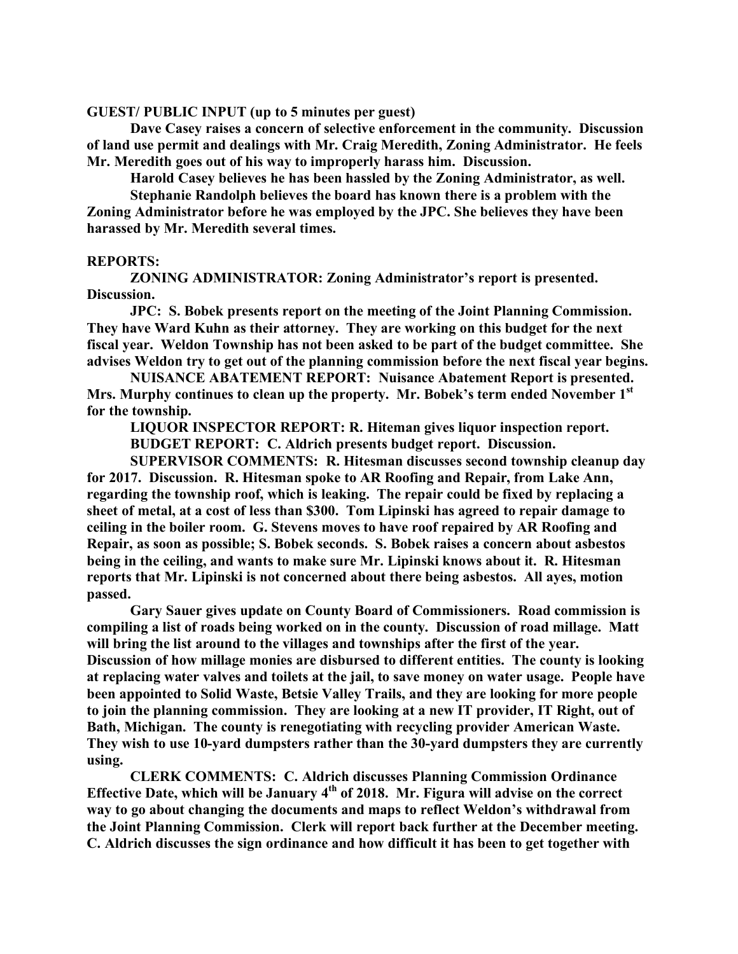**GUEST/ PUBLIC INPUT (up to 5 minutes per guest)**

**Dave Casey raises a concern of selective enforcement in the community. Discussion of land use permit and dealings with Mr. Craig Meredith, Zoning Administrator. He feels Mr. Meredith goes out of his way to improperly harass him. Discussion.**

**Harold Casey believes he has been hassled by the Zoning Administrator, as well.**

**Stephanie Randolph believes the board has known there is a problem with the Zoning Administrator before he was employed by the JPC. She believes they have been harassed by Mr. Meredith several times.**

## **REPORTS:**

**ZONING ADMINISTRATOR: Zoning Administrator's report is presented. Discussion.**

**JPC: S. Bobek presents report on the meeting of the Joint Planning Commission. They have Ward Kuhn as their attorney. They are working on this budget for the next fiscal year. Weldon Township has not been asked to be part of the budget committee. She advises Weldon try to get out of the planning commission before the next fiscal year begins.**

**NUISANCE ABATEMENT REPORT: Nuisance Abatement Report is presented. Mrs. Murphy continues to clean up the property. Mr. Bobek's term ended November 1st for the township.**

**LIQUOR INSPECTOR REPORT: R. Hiteman gives liquor inspection report. BUDGET REPORT: C. Aldrich presents budget report. Discussion.**

**SUPERVISOR COMMENTS: R. Hitesman discusses second township cleanup day for 2017. Discussion. R. Hitesman spoke to AR Roofing and Repair, from Lake Ann, regarding the township roof, which is leaking. The repair could be fixed by replacing a sheet of metal, at a cost of less than \$300. Tom Lipinski has agreed to repair damage to ceiling in the boiler room. G. Stevens moves to have roof repaired by AR Roofing and Repair, as soon as possible; S. Bobek seconds. S. Bobek raises a concern about asbestos being in the ceiling, and wants to make sure Mr. Lipinski knows about it. R. Hitesman reports that Mr. Lipinski is not concerned about there being asbestos. All ayes, motion passed.**

**Gary Sauer gives update on County Board of Commissioners. Road commission is compiling a list of roads being worked on in the county. Discussion of road millage. Matt will bring the list around to the villages and townships after the first of the year. Discussion of how millage monies are disbursed to different entities. The county is looking at replacing water valves and toilets at the jail, to save money on water usage. People have been appointed to Solid Waste, Betsie Valley Trails, and they are looking for more people to join the planning commission. They are looking at a new IT provider, IT Right, out of Bath, Michigan. The county is renegotiating with recycling provider American Waste. They wish to use 10-yard dumpsters rather than the 30-yard dumpsters they are currently using.**

**CLERK COMMENTS: C. Aldrich discusses Planning Commission Ordinance Effective Date, which will be January 4th of 2018. Mr. Figura will advise on the correct way to go about changing the documents and maps to reflect Weldon's withdrawal from the Joint Planning Commission. Clerk will report back further at the December meeting. C. Aldrich discusses the sign ordinance and how difficult it has been to get together with**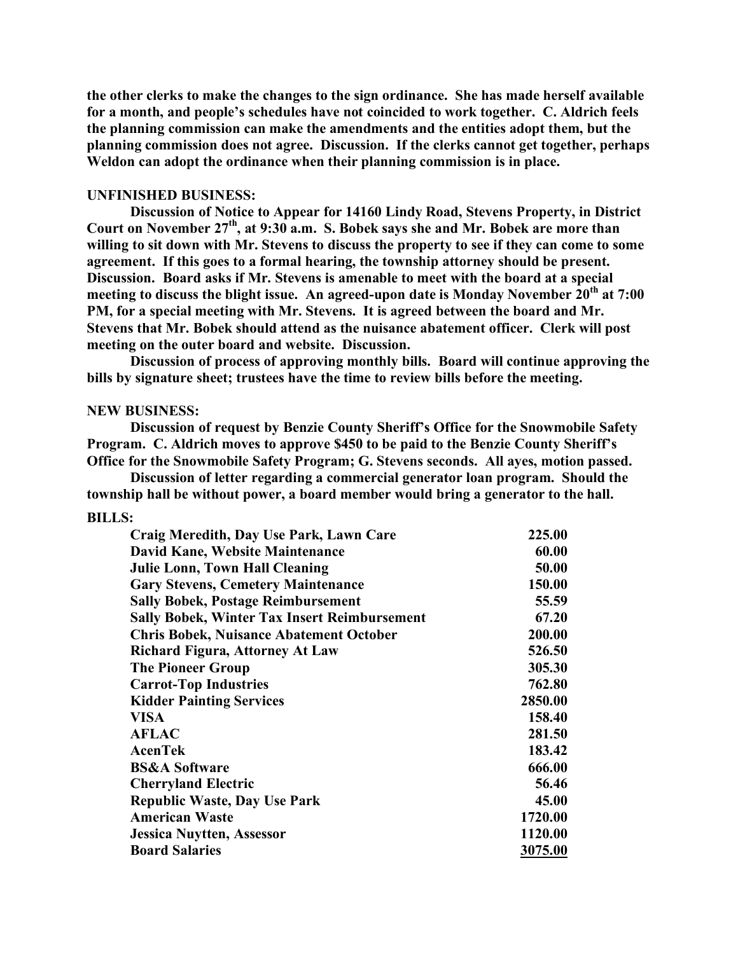**the other clerks to make the changes to the sign ordinance. She has made herself available for a month, and people's schedules have not coincided to work together. C. Aldrich feels the planning commission can make the amendments and the entities adopt them, but the planning commission does not agree. Discussion. If the clerks cannot get together, perhaps Weldon can adopt the ordinance when their planning commission is in place.**

## **UNFINISHED BUSINESS:**

**Discussion of Notice to Appear for 14160 Lindy Road, Stevens Property, in District Court on November 27th, at 9:30 a.m. S. Bobek says she and Mr. Bobek are more than willing to sit down with Mr. Stevens to discuss the property to see if they can come to some agreement. If this goes to a formal hearing, the township attorney should be present. Discussion. Board asks if Mr. Stevens is amenable to meet with the board at a special meeting to discuss the blight issue. An agreed-upon date is Monday November 20th at 7:00 PM, for a special meeting with Mr. Stevens. It is agreed between the board and Mr. Stevens that Mr. Bobek should attend as the nuisance abatement officer. Clerk will post meeting on the outer board and website. Discussion.**

**Discussion of process of approving monthly bills. Board will continue approving the bills by signature sheet; trustees have the time to review bills before the meeting.**

#### **NEW BUSINESS:**

**Discussion of request by Benzie County Sheriff's Office for the Snowmobile Safety Program. C. Aldrich moves to approve \$450 to be paid to the Benzie County Sheriff's Office for the Snowmobile Safety Program; G. Stevens seconds. All ayes, motion passed.**

**Discussion of letter regarding a commercial generator loan program. Should the township hall be without power, a board member would bring a generator to the hall.**

#### **BILLS:**

| Craig Meredith, Day Use Park, Lawn Care             | 225.00  |
|-----------------------------------------------------|---------|
| David Kane, Website Maintenance                     | 60.00   |
| <b>Julie Lonn, Town Hall Cleaning</b>               | 50.00   |
| <b>Gary Stevens, Cemetery Maintenance</b>           | 150.00  |
| <b>Sally Bobek, Postage Reimbursement</b>           | 55.59   |
| <b>Sally Bobek, Winter Tax Insert Reimbursement</b> | 67.20   |
| <b>Chris Bobek, Nuisance Abatement October</b>      | 200.00  |
| <b>Richard Figura, Attorney At Law</b>              | 526.50  |
| <b>The Pioneer Group</b>                            | 305.30  |
| <b>Carrot-Top Industries</b>                        | 762.80  |
| <b>Kidder Painting Services</b>                     | 2850.00 |
| <b>VISA</b>                                         | 158.40  |
| <b>AFLAC</b>                                        | 281.50  |
| <b>AcenTek</b>                                      | 183.42  |
| <b>BS&amp;A Software</b>                            | 666.00  |
| <b>Cherryland Electric</b>                          | 56.46   |
| <b>Republic Waste, Day Use Park</b>                 | 45.00   |
| <b>American Waste</b>                               | 1720.00 |
| <b>Jessica Nuytten, Assessor</b>                    | 1120.00 |
| <b>Board Salaries</b>                               | 3075.00 |